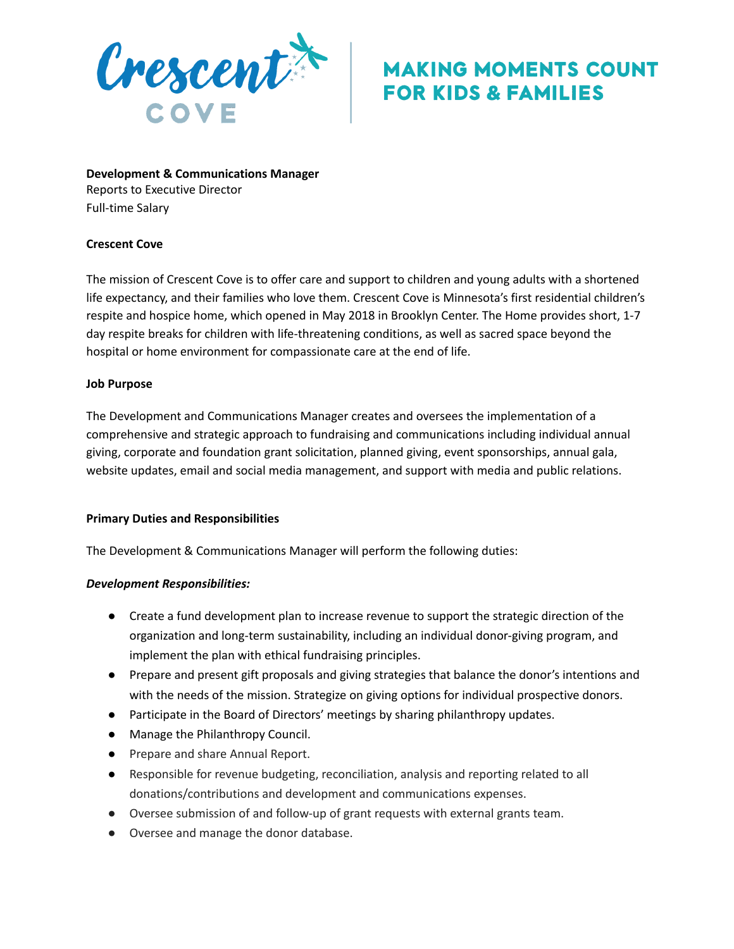

# **MAKING MOMENTS COUNT FOR KIDS & FAMILIES**

**Development & Communications Manager** Reports to Executive Director Full-time Salary

### **Crescent Cove**

The mission of Crescent Cove is to offer care and support to children and young adults with a shortened life expectancy, and their families who love them. Crescent Cove is Minnesota's first residential children's respite and hospice home, which opened in May 2018 in Brooklyn Center. The Home provides short, 1-7 day respite breaks for children with life-threatening conditions, as well as sacred space beyond the hospital or home environment for compassionate care at the end of life.

### **Job Purpose**

The Development and Communications Manager creates and oversees the implementation of a comprehensive and strategic approach to fundraising and communications including individual annual giving, corporate and foundation grant solicitation, planned giving, event sponsorships, annual gala, website updates, email and social media management, and support with media and public relations.

### **Primary Duties and Responsibilities**

The Development & Communications Manager will perform the following duties:

### *Development Responsibilities:*

- Create a fund development plan to increase revenue to support the strategic direction of the organization and long-term sustainability, including an individual donor-giving program, and implement the plan with ethical fundraising principles.
- Prepare and present gift proposals and giving strategies that balance the donor's intentions and with the needs of the mission. Strategize on giving options for individual prospective donors.
- Participate in the Board of Directors' meetings by sharing philanthropy updates.
- Manage the Philanthropy Council.
- Prepare and share Annual Report.
- Responsible for revenue budgeting, reconciliation, analysis and reporting related to all donations/contributions and development and communications expenses.
- Oversee submission of and follow-up of grant requests with external grants team.
- Oversee and manage the donor database.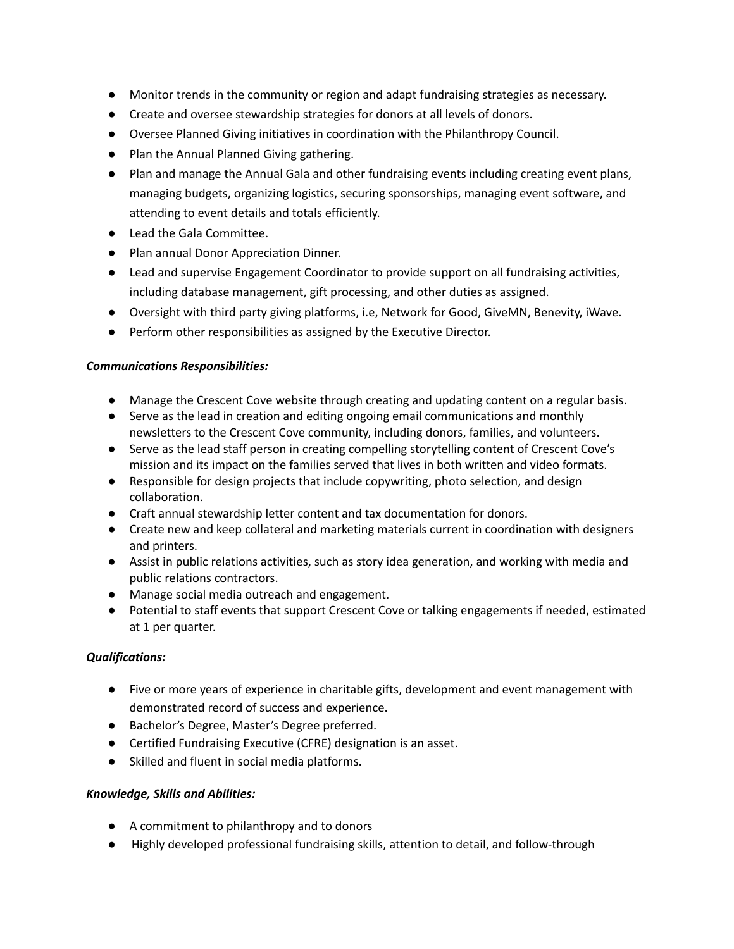- Monitor trends in the community or region and adapt fundraising strategies as necessary.
- Create and oversee stewardship strategies for donors at all levels of donors.
- Oversee Planned Giving initiatives in coordination with the Philanthropy Council.
- Plan the Annual Planned Giving gathering.
- Plan and manage the Annual Gala and other fundraising events including creating event plans, managing budgets, organizing logistics, securing sponsorships, managing event software, and attending to event details and totals efficiently.
- Lead the Gala Committee.
- Plan annual Donor Appreciation Dinner.
- Lead and supervise Engagement Coordinator to provide support on all fundraising activities, including database management, gift processing, and other duties as assigned.
- Oversight with third party giving platforms, i.e, Network for Good, GiveMN, Benevity, iWave.
- Perform other responsibilities as assigned by the Executive Director.

### *Communications Responsibilities:*

- Manage the Crescent Cove website through creating and updating content on a regular basis.
- Serve as the lead in creation and editing ongoing email communications and monthly newsletters to the Crescent Cove community, including donors, families, and volunteers.
- Serve as the lead staff person in creating compelling storytelling content of Crescent Cove's mission and its impact on the families served that lives in both written and video formats.
- Responsible for design projects that include copywriting, photo selection, and design collaboration.
- Craft annual stewardship letter content and tax documentation for donors.
- Create new and keep collateral and marketing materials current in coordination with designers and printers.
- Assist in public relations activities, such as story idea generation, and working with media and public relations contractors.
- Manage social media outreach and engagement.
- Potential to staff events that support Crescent Cove or talking engagements if needed, estimated at 1 per quarter.

## *Qualifications:*

- Five or more years of experience in charitable gifts, development and event management with demonstrated record of success and experience.
- Bachelor's Degree, Master's Degree preferred.
- Certified Fundraising Executive (CFRE) designation is an asset.
- Skilled and fluent in social media platforms.

## *Knowledge, Skills and Abilities:*

- A commitment to philanthropy and to donors
- Highly developed professional fundraising skills, attention to detail, and follow-through